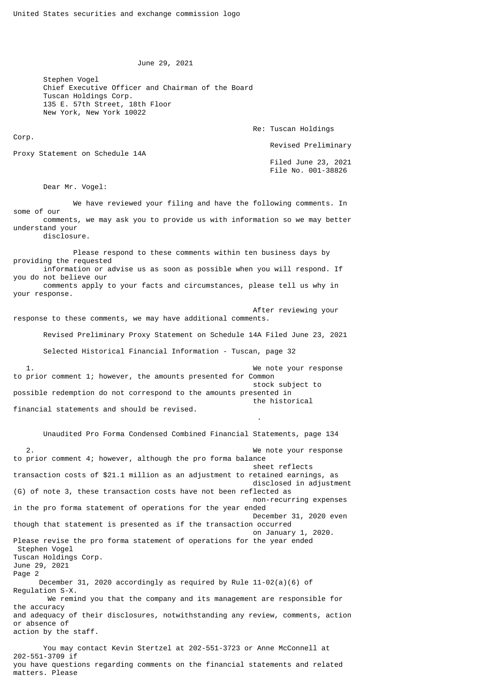June 29, 2021

Stephen Vogel Chief Executive Officer and Chairman of the Board Tuscan Holdings Corp. 135 E. 57th Street, 18th Floor New York, New York 10022

Re: Tuscan Holdings

Revised Preliminary

Proxy Statement on Schedule 14A

Corp.

 Filed June 23, 2021 File No. 001-38826

Dear Mr. Vogel:

 We have reviewed your filing and have the following comments. In some of our comments, we may ask you to provide us with information so we may better understand your disclosure.

 Please respond to these comments within ten business days by providing the requested information or advise us as soon as possible when you will respond. If you do not believe our comments apply to your facts and circumstances, please tell us why in your response.

 After reviewing your response to these comments, we may have additional comments.

Revised Preliminary Proxy Statement on Schedule 14A Filed June 23, 2021

Selected Historical Financial Information - Tuscan, page 32

1. The set of the set of the set of the set of the set of the set of the set of the set of the set of the set of the set of the set of the set of the set of the set of the set of the set of the set of the set of the set of to prior comment 1; however, the amounts presented for Common stock subject to possible redemption do not correspond to the amounts presented in the historical financial statements and should be revised.

.

Unaudited Pro Forma Condensed Combined Financial Statements, page 134

 2. We note your response to prior comment 4; however, although the pro forma balance sheet reflects transaction costs of \$21.1 million as an adjustment to retained earnings, as disclosed in adjustment (G) of note 3, these transaction costs have not been reflected as non-recurring expenses in the pro forma statement of operations for the year ended December 31, 2020 even though that statement is presented as if the transaction occurred on January 1, 2020. Please revise the pro forma statement of operations for the year ended Stephen Vogel Tuscan Holdings Corp. June 29, 2021 Page 2 December 31, 2020 accordingly as required by Rule  $11-02(a)(6)$  of Regulation S-X. We remind you that the company and its management are responsible for the accuracy and adequacy of their disclosures, notwithstanding any review, comments, action or absence of action by the staff.

 You may contact Kevin Stertzel at 202-551-3723 or Anne McConnell at 202-551-3709 if you have questions regarding comments on the financial statements and related matters. Please